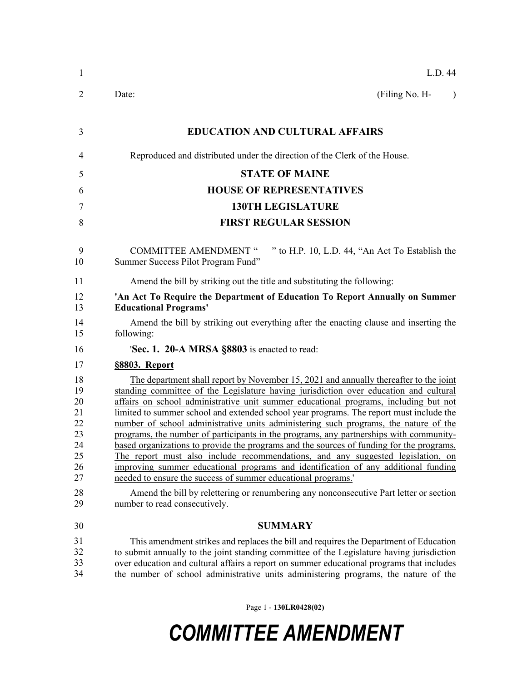| $\mathbf{1}$                                             | L.D. 44                                                                                                                                                                                                                                                                                                                                                                                                                                                                                                                                                                                                                                                                                                                                                                                                                                                                                  |
|----------------------------------------------------------|------------------------------------------------------------------------------------------------------------------------------------------------------------------------------------------------------------------------------------------------------------------------------------------------------------------------------------------------------------------------------------------------------------------------------------------------------------------------------------------------------------------------------------------------------------------------------------------------------------------------------------------------------------------------------------------------------------------------------------------------------------------------------------------------------------------------------------------------------------------------------------------|
| 2                                                        | (Filing No. H-<br>Date:<br>$\lambda$                                                                                                                                                                                                                                                                                                                                                                                                                                                                                                                                                                                                                                                                                                                                                                                                                                                     |
| 3                                                        | <b>EDUCATION AND CULTURAL AFFAIRS</b>                                                                                                                                                                                                                                                                                                                                                                                                                                                                                                                                                                                                                                                                                                                                                                                                                                                    |
| 4                                                        | Reproduced and distributed under the direction of the Clerk of the House.                                                                                                                                                                                                                                                                                                                                                                                                                                                                                                                                                                                                                                                                                                                                                                                                                |
| 5                                                        | <b>STATE OF MAINE</b>                                                                                                                                                                                                                                                                                                                                                                                                                                                                                                                                                                                                                                                                                                                                                                                                                                                                    |
| 6                                                        | <b>HOUSE OF REPRESENTATIVES</b>                                                                                                                                                                                                                                                                                                                                                                                                                                                                                                                                                                                                                                                                                                                                                                                                                                                          |
| 7                                                        | <b>130TH LEGISLATURE</b>                                                                                                                                                                                                                                                                                                                                                                                                                                                                                                                                                                                                                                                                                                                                                                                                                                                                 |
| 8                                                        | <b>FIRST REGULAR SESSION</b>                                                                                                                                                                                                                                                                                                                                                                                                                                                                                                                                                                                                                                                                                                                                                                                                                                                             |
| 9<br>10                                                  | " to H.P. 10, L.D. 44, "An Act To Establish the<br><b>COMMITTEE AMENDMENT "</b><br>Summer Success Pilot Program Fund"                                                                                                                                                                                                                                                                                                                                                                                                                                                                                                                                                                                                                                                                                                                                                                    |
| 11                                                       | Amend the bill by striking out the title and substituting the following:                                                                                                                                                                                                                                                                                                                                                                                                                                                                                                                                                                                                                                                                                                                                                                                                                 |
| 12<br>13                                                 | 'An Act To Require the Department of Education To Report Annually on Summer<br><b>Educational Programs'</b>                                                                                                                                                                                                                                                                                                                                                                                                                                                                                                                                                                                                                                                                                                                                                                              |
| 14<br>15                                                 | Amend the bill by striking out everything after the enacting clause and inserting the<br>following:                                                                                                                                                                                                                                                                                                                                                                                                                                                                                                                                                                                                                                                                                                                                                                                      |
| 16                                                       | 'Sec. 1. 20-A MRSA §8803 is enacted to read:                                                                                                                                                                                                                                                                                                                                                                                                                                                                                                                                                                                                                                                                                                                                                                                                                                             |
| 17                                                       | §8803. Report                                                                                                                                                                                                                                                                                                                                                                                                                                                                                                                                                                                                                                                                                                                                                                                                                                                                            |
| 18<br>19<br>20<br>21<br>22<br>23<br>24<br>25<br>26<br>27 | The department shall report by November 15, 2021 and annually thereafter to the joint<br>standing committee of the Legislature having jurisdiction over education and cultural<br>affairs on school administrative unit summer educational programs, including but not<br>limited to summer school and extended school year programs. The report must include the<br>number of school administrative units administering such programs, the nature of the<br>programs, the number of participants in the programs, any partnerships with community-<br>based organizations to provide the programs and the sources of funding for the programs.<br>The report must also include recommendations, and any suggested legislation, on<br>improving summer educational programs and identification of any additional funding<br>needed to ensure the success of summer educational programs. |
| 28<br>29                                                 | Amend the bill by relettering or renumbering any nonconsecutive Part letter or section<br>number to read consecutively.                                                                                                                                                                                                                                                                                                                                                                                                                                                                                                                                                                                                                                                                                                                                                                  |
| 30                                                       | <b>SUMMARY</b>                                                                                                                                                                                                                                                                                                                                                                                                                                                                                                                                                                                                                                                                                                                                                                                                                                                                           |
| 31<br>32<br>33<br>34                                     | This amendment strikes and replaces the bill and requires the Department of Education<br>to submit annually to the joint standing committee of the Legislature having jurisdiction<br>over education and cultural affairs a report on summer educational programs that includes<br>the number of school administrative units administering programs, the nature of the                                                                                                                                                                                                                                                                                                                                                                                                                                                                                                                   |

Page 1 - **130LR0428(02)**

## *COMMITTEE AMENDMENT*